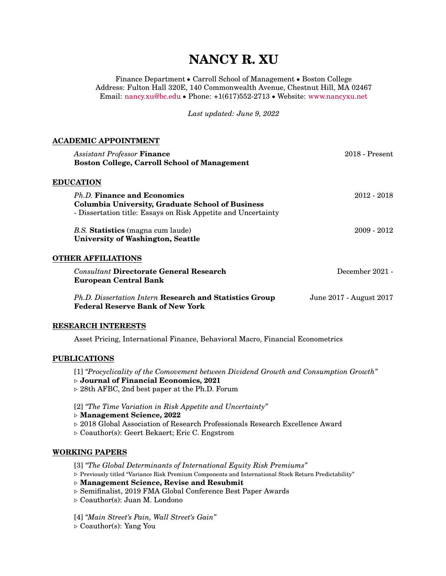# **NANCY R. XU**

Finance Department ● Carroll School of Management ● Boston College Address: Fulton Hall 320E, 140 Commonwealth Avenue, Chestnut Hill, MA 02467 Email: [nancy.xu@bc.edu](mailto:nancy.xu@bc.edu) ● Phone: +1(617)552-2713 ● Website: <www.nancyxu.net>

*Last updated: June 9, 2022*

### **ACADEMIC APPOINTMENT**

| <b>Assistant Professor Finance</b>                            | $2018$ - Present        |
|---------------------------------------------------------------|-------------------------|
| <b>Boston College, Carroll School of Management</b>           |                         |
| <b>EDUCATION</b>                                              |                         |
| Ph.D. Finance and Economics                                   | $2012 - 2018$           |
| Columbia University, Graduate School of Business              |                         |
| - Dissertation title: Essays on Risk Appetite and Uncertainty |                         |
| B.S. Statistics (magna cum laude)                             | $2009 - 2012$           |
| University of Washington, Seattle                             |                         |
| <b>OTHER AFFILIATIONS</b>                                     |                         |
| <b>Consultant Directorate General Research</b>                | December 2021 -         |
| European Central Bank                                         |                         |
| Ph.D. Dissertation Intern Research and Statistics Group       | June 2017 - August 2017 |
| <b>Federal Reserve Bank of New York</b>                       |                         |
|                                                               |                         |
|                                                               |                         |

### **RESEARCH INTERESTS**

Asset Pricing, International Finance, Behavioral Macro, Financial Econometrics

### **PUBLICATIONS**

[1] *"Procyclicality of the Comovement between Dividend Growth and Consumption Growth"* ⊳ **Journal of Financial Economics, 2021** ⊳ 28th AFBC, 2nd best paper at the Ph.D. Forum

[2] *"The Time Variation in Risk Appetite and Uncertainty"*

- ⊳ **Management Science, 2022**
- ⊳ 2018 Global Association of Research Professionals Research Excellence Award
- ⊳ Coauthor(s): Geert Bekaert; Eric C. Engstrom

### **WORKING PAPERS**

[3] *"The Global Determinants of International Equity Risk Premiums"*

- ⊳ Previously titled "Variance Risk Premium Components and International Stock Return Predictability"
- ⊳ **Management Science, Revise and Resubmit**
- ⊳ Semifinalist, 2019 FMA Global Conference Best Paper Awards
- ⊳ Coauthor(s): Juan M. Londono

[4] *"Main Street's Pain, Wall Street's Gain"*

⊳ Coauthor(s): Yang You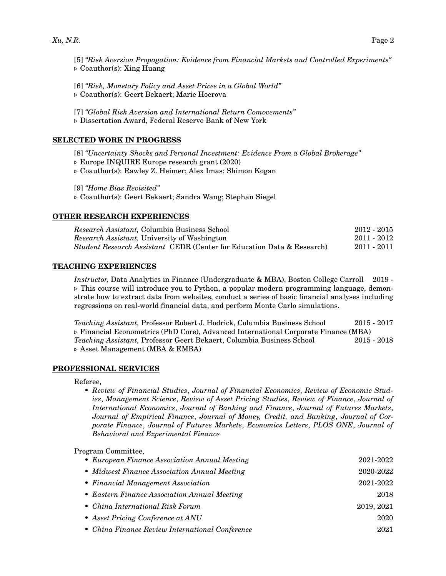[5] *"Risk Aversion Propagation: Evidence from Financial Markets and Controlled Experiments"* ⊳ Coauthor(s): Xing Huang

[6] *"Risk, Monetary Policy and Asset Prices in a Global World"* ⊳ Coauthor(s): Geert Bekaert; Marie Hoerova

[7] *"Global Risk Aversion and International Return Comovements"* ⊳ Dissertation Award, Federal Reserve Bank of New York

### **SELECTED WORK IN PROGRESS**

[8] *"Uncertainty Shocks and Personal Investment: Evidence From a Global Brokerage"* ⊳ Europe INQUIRE Europe research grant (2020)

⊳ Coauthor(s): Rawley Z. Heimer; Alex Imas; Shimon Kogan

[9] *"Home Bias Revisited"*

⊳ Coauthor(s): Geert Bekaert; Sandra Wang; Stephan Siegel

### **OTHER RESEARCH EXPERIENCES**

| <i>Research Assistant, Columbia Business School</i>                               | $2012 - 2015$ |  |
|-----------------------------------------------------------------------------------|---------------|--|
| <i>Research Assistant</i> , University of Washington                              | 2011 - 2012   |  |
| <i>Student Research Assistant CEDR (Center for Education Data &amp; Research)</i> | 2011 - 2011   |  |

### **TEACHING EXPERIENCES**

*Instructor,* Data Analytics in Finance (Undergraduate & MBA), Boston College Carroll 2019 - ⊳ This course will introduce you to Python, a popular modern programming language, demonstrate how to extract data from websites, conduct a series of basic financial analyses including regressions on real-world financial data, and perform Monte Carlo simulations.

*Teaching Assistant,* Professor Robert J. Hodrick, Columbia Business School 2015 - 2017 ⊳ Financial Econometrics (PhD Core), Advanced International Corporate Finance (MBA) *Teaching Assistant,* Professor Geert Bekaert, Columbia Business School 2015 - 2018 ⊳ Asset Management (MBA & EMBA)

### **PROFESSIONAL SERVICES**

Referee,

• *Review of Financial Studies*, *Journal of Financial Economics*, *Review of Economic Studies*, *Management Science*, *Review of Asset Pricing Studies*, *Review of Finance*, *Journal of International Economics*, *Journal of Banking and Finance*, *Journal of Futures Markets*, *Journal of Empirical Finance*, *Journal of Money, Credit, and Banking*, *Journal of Corporate Finance*, *Journal of Futures Markets*, *Economics Letters*, *PLOS ONE*, *Journal of Behavioral and Experimental Finance*

### Program Committee,

| • European Finance Association Annual Meeting   | 2021-2022  |
|-------------------------------------------------|------------|
| • Midwest Finance Association Annual Meeting    | 2020-2022  |
| • Financial Management Association              | 2021-2022  |
| • Eastern Finance Association Annual Meeting    | 2018       |
| • China International Risk Forum                | 2019, 2021 |
| • Asset Pricing Conference at ANU               | 2020       |
| • China Finance Review International Conference | 2021       |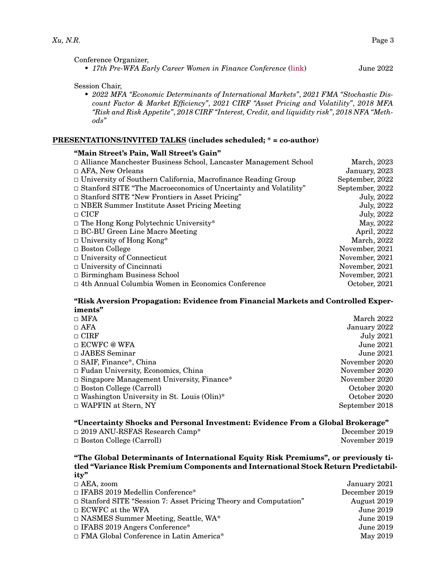Conference Organizer,

• *17th Pre-WFA Early Career Women in Finance Conference* [\(link\)](https://sites.google.com/view/17th-ecwfc/home) June 2022

Session Chair,

• *2022 MFA "Economic Determinants of International Markets"*, *2021 FMA "Stochastic Discount Factor & Market Efficiency"*, *2021 CIRF "Asset Pricing and Volatility"*, *2018 MFA "Risk and Risk Appetite"*, *2018 CIRF "Interest, Credit, and liquidity risk"*, *2018 NFA "Methods"*

### **PRESENTATIONS/INVITED TALKS (includes scheduled; \* = co-author)**

### **"Main Street's Pain, Wall Street's Gain"**

| $\Box$ Alliance Manchester Business School, Lancaster Management School | March, 2023     |
|-------------------------------------------------------------------------|-----------------|
| $\Box$ AFA, New Orleans                                                 | January, 2023   |
| $\Box$ University of Southern California, Macrofinance Reading Group    | September, 2022 |
| $\Box$ Stanford SITE "The Macroeconomics of Uncertainty and Volatility" | September, 2022 |
| $\Box$ Stanford SITE "New Frontiers in Asset Pricing"                   | July, 2022      |
| $\Box$ NBER Summer Institute Asset Pricing Meeting                      | July, 2022      |
| $\Box$ CICF                                                             | July, 2022      |
| $\Box$ The Hong Kong Polytechnic University*                            | May, 2022       |
| $\Box$ BC-BU Green Line Macro Meeting                                   | April, 2022     |
| $\Box$ University of Hong Kong*                                         | March, 2022     |
| $\Box$ Boston College                                                   | November, 2021  |
| $\Box$ University of Connecticut                                        | November, 2021  |
| $\Box$ University of Cincinnati                                         | November, 2021  |
| $\Box$ Birmingham Business School                                       | November, 2021  |
| $\Box$ 4th Annual Columbia Women in Economics Conference                | October, 2021   |
|                                                                         |                 |

### **"Risk Aversion Propagation: Evidence from Financial Markets and Controlled Experiments"**

| $\Box$ MFA                                        | March 2022       |
|---------------------------------------------------|------------------|
| $\Box$ AFA                                        | January 2022     |
| $\Box$ CIRF                                       | <b>July 2021</b> |
| $\Box$ ECWFC @ WFA                                | <b>June 2021</b> |
| $\Box$ JABES Seminar                              | <b>June 2021</b> |
| $\Box$ SAIF, Finance*, China                      | November 2020    |
| $\Box$ Fudan University, Economics, China         | November 2020    |
| □ Singapore Management University, Finance*       | November 2020    |
| $\Box$ Boston College (Carroll)                   | October 2020     |
| $\Box$ Washington University in St. Louis (Olin)* | October 2020     |
| $\Box$ WAPFIN at Stern, NY                        | September 2018   |
|                                                   |                  |

### **"Uncertainty Shocks and Personal Investment: Evidence From a Global Brokerage"**

| $\Box$ 2019 ANU-RSFAS Research Camp* | December 2019 |
|--------------------------------------|---------------|
| $\Box$ Boston College (Carroll)      | November 2019 |

### **"The Global Determinants of International Equity Risk Premiums", or previously titled "Variance Risk Premium Components and International Stock Return Predictability"**

| $\Box$ AEA, zoom                                                       | January 2021     |
|------------------------------------------------------------------------|------------------|
| $\Box$ IFABS 2019 Medellin Conference*                                 | December 2019    |
| $\Box$ Stanford SITE "Session 7: Asset Pricing Theory and Computation" | August 2019      |
| $\Box$ ECWFC at the WFA                                                | <b>June 2019</b> |
| $\Box$ NASMES Summer Meeting, Seattle, WA*                             | <b>June 2019</b> |
| $\Box$ IFABS 2019 Angers Conference*                                   | <b>June 2019</b> |
| $\Box$ FMA Global Conference in Latin America*                         | May 2019         |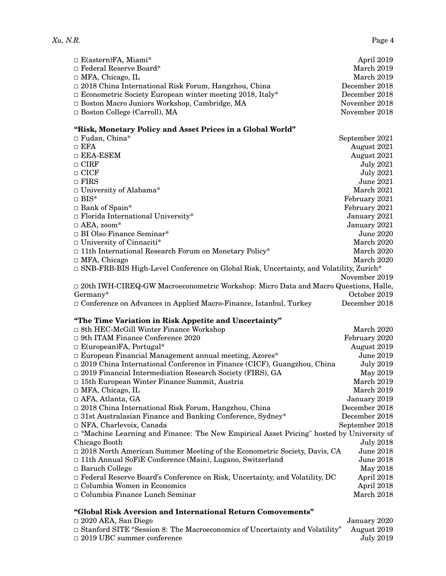| $\Box$ E(astern)FA, Miami*                                      | April 2019    |
|-----------------------------------------------------------------|---------------|
| $\Box$ Federal Reserve Board*                                   | March 2019    |
| $\Box$ MFA, Chicago, IL                                         | March 2019    |
| $\Box$ 2018 China International Risk Forum, Hangzhou, China     | December 2018 |
| $\Box$ Econometric Society European winter meeting 2018, Italy* | December 2018 |
| $\Box$ Boston Macro Juniors Workshop, Cambridge, MA             | November 2018 |
| $\Box$ Boston College (Carroll), MA                             | November 2018 |

### **"Risk, Monetary Policy and Asset Prices in a Global World"**

| $\Box$ Fudan, China*                                                                          | September 2021   |
|-----------------------------------------------------------------------------------------------|------------------|
| $\square$ EFA                                                                                 | August 2021      |
| $\Box$ EEA-ESEM                                                                               | August 2021      |
| $\Box$ CIRF                                                                                   | <b>July 2021</b> |
| $\Box$ CICF                                                                                   | <b>July 2021</b> |
| $\Box$ FIRS                                                                                   | June 2021        |
| $\Box$ University of Alabama*                                                                 | March 2021       |
| $\Box$ BIS*                                                                                   | February 2021    |
| $\Box$ Bank of Spain*                                                                         | February 2021    |
| $\Box$ Florida International University*                                                      | January 2021     |
| $\Box$ AEA, zoom*                                                                             | January 2021     |
| $\Box$ BI Olso Finance Seminar*                                                               | <b>June 2020</b> |
| $\Box$ University of Cinnaciti*                                                               | March 2020       |
| $\Box$ 11th International Research Forum on Monetary Policy*                                  | March 2020       |
| $\Box$ MFA, Chicago                                                                           | March 2020       |
| $\Box$ SNB-FRB-BIS High-Level Conference on Global Risk, Uncertainty, and Volatility, Zurich* |                  |
|                                                                                               | November 2019    |
| $\Box$ 20th IWH-CIREQ-GW Macroeconometric Workshop: Micro Data and Macro Questions, Halle,    |                  |
| Germany*                                                                                      | October 2019     |
| $\Box$ Conference on Advances in Applied Macro-Finance, Istanbul, Turkey                      | December 2018    |
|                                                                                               |                  |

# **"The Time Variation in Risk Appetite and Uncertainty"**

| $\Box$ 8th HEC-McGill Winter Finance Workshop                                                  | March 2020       |
|------------------------------------------------------------------------------------------------|------------------|
| $\Box$ 9th ITAM Finance Conference 2020                                                        | February 2020    |
| $\Box$ E(uropean)FA, Portugal*                                                                 | August 2019      |
| $\Box$ European Financial Management annual meeting, Azores*                                   | June 2019        |
| $\Box$ 2019 China International Conference in Finance (CICF), Guangzhou, China                 | <b>July 2019</b> |
| $\Box$ 2019 Financial Intermediation Research Society (FIRS), GA                               | May 2019         |
| $\Box$ 15th European Winter Finance Summit, Austria                                            | March 2019       |
| $\Box$ MFA, Chicago, IL                                                                        | March 2019       |
| $\Box$ AFA, Atlanta, GA                                                                        | January 2019     |
| $\Box$ 2018 China International Risk Forum, Hangzhou, China                                    | December 2018    |
| $\Box$ 31st Australasian Finance and Banking Conference, Sydney*                               | December 2018    |
| $\Box$ NFA, Charlevoix, Canada                                                                 | September 2018   |
| $\Box$ "Machine Learning and Finance: The New Empirical Asset Pricing" hosted by University of |                  |
| Chicago Booth                                                                                  | <b>July 2018</b> |
| $\Box$ 2018 North American Summer Meeting of the Econometric Society, Davis, CA                | <b>June 2018</b> |
| $\Box$ 11th Annual SoFiE Conference (Main), Lugano, Switzerland                                | <b>June 2018</b> |
| $\Box$ Baruch College                                                                          | May 2018         |
| $\Box$ Federal Reserve Board's Conference on Risk, Uncertainty, and Volatility, DC             | April 2018       |
| $\Box$ Columbia Women in Economics                                                             | April 2018       |
| $\Box$ Columbia Finance Lunch Seminar                                                          | March 2018       |
|                                                                                                |                  |

## **"Global Risk Aversion and International Return Comovements"**

| $\square$ 2020 AEA, San Diego                                                      | January 2020 |
|------------------------------------------------------------------------------------|--------------|
| $\Box$ Stanford SITE "Session 8: The Macroeconomics of Uncertainty and Volatility" | August 2019  |
| $\Box$ 2019 UBC summer conference                                                  | July 2019    |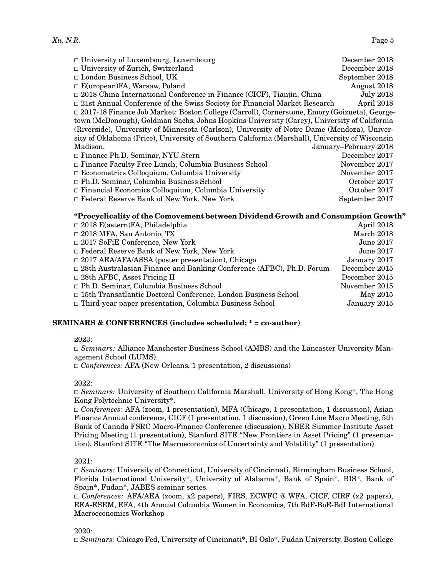| $\Box$ University of Luxembourg, Luxembourg                                                     | December 2018         |
|-------------------------------------------------------------------------------------------------|-----------------------|
| □ University of Zurich, Switzerland                                                             | December 2018         |
| □ London Business School, UK                                                                    | September 2018        |
| $\Box$ E(uropean)FA, Warsaw, Poland                                                             | August 2018           |
| $\Box$ 2018 China International Conference in Finance (CICF), Tianjin, China                    | <b>July 2018</b>      |
| $\Box$ 21st Annual Conference of the Swiss Society for Financial Market Research                | April 2018            |
| □ 2017-18 Finance Job Market: Boston College (Carroll), Cornerstone, Emory (Goizueta), George-  |                       |
| town (McDonough), Goldman Sachs, Johns Hopkins University (Carey), University of California     |                       |
| (Riverside), University of Minnesota (Carlson), University of Notre Dame (Mendoza), Univer-     |                       |
| sity of Oklahoma (Price), University of Southern California (Marshall), University of Wisconsin |                       |
| Madison,                                                                                        | January-February 2018 |
| Finance Ph.D. Seminar, NYU Stern                                                                | December 2017         |
| □ Finance Faculty Free Lunch, Columbia Business School                                          | November 2017         |
| □ Econometrics Colloquium, Columbia University                                                  | November 2017         |
| □ Ph.D. Seminar, Columbia Business School                                                       | October 2017          |
| □ Financial Economics Colloquium, Columbia University                                           | October 2017          |
| □ Federal Reserve Bank of New York, New York                                                    | September 2017        |
|                                                                                                 |                       |

### **"Procyclicality of the Comovement between Dividend Growth and Consumption Growth"**

| April 2018       |
|------------------|
| March 2018       |
| <b>June 2017</b> |
| <b>June 2017</b> |
| January 2017     |
| December 2015    |
| December 2015    |
| November 2015    |
| May 2015         |
| January 2015     |
|                  |

### **SEMINARS & CONFERENCES (includes scheduled; \* = co-author)**

2023:

◻ *Seminars:* Alliance Manchester Business School (AMBS) and the Lancaster University Management School (LUMS).

◻ *Conferences:* AFA (New Orleans, 1 presentation, 2 discussions)

### 2022:

◻ *Seminars:* University of Southern California Marshall, University of Hong Kong\*, The Hong Kong Polytechnic University\*.

◻ *Conferences:* AFA (zoom, 1 presentation), MFA (Chicago, 1 presentation, 1 discussion), Asian Finance Annual conference, CICF (1 presentation, 1 discussion), Green Line Macro Meeting, 5th Bank of Canada FSRC Macro-Finance Conference (discussion), NBER Summer Institute Asset Pricing Meeting (1 presentation), Stanford SITE "New Frontiers in Asset Pricing" (1 presentation), Stanford SITE "The Macroeconomics of Uncertainty and Volatility" (1 presentation)

### 2021:

◻ *Seminars:* University of Connecticut, University of Cincinnati, Birmingham Business School, Florida International University\*, University of Alabama\*, Bank of Spain\*, BIS\*, Bank of Spain\*, Fudan\*, JABES seminar series.

◻ *Conferences:* AFA/AEA (zoom, x2 papers), FIRS, ECWFC @ WFA, CICF, CIRF (x2 papers), EEA-ESEM, EFA, 4th Annual Columbia Women in Economics, 7th BdF-BoE-BdI International Macroeconomics Workshop

### 2020:

◻ *Seminars:* Chicago Fed, University of Cincinnati\*, BI Oslo\*, Fudan University, Boston College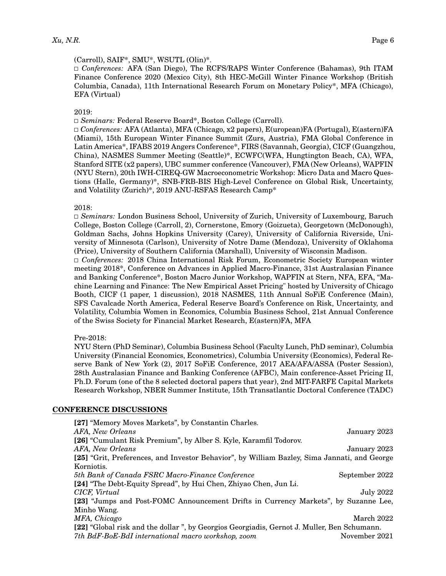### (Carroll), SAIF\*, SMU\*, WSUTL (Olin)\*.

◻ *Conferences:* AFA (San Diego), The RCFS/RAPS Winter Conference (Bahamas), 9th ITAM Finance Conference 2020 (Mexico City), 8th HEC-McGill Winter Finance Workshop (British Columbia, Canada), 11th International Research Forum on Monetary Policy\*, MFA (Chicago), EFA (Virtual)

### 2019:

◻ *Seminars:* Federal Reserve Board\*, Boston College (Carroll).

◻ *Conferences:* AFA (Atlanta), MFA (Chicago, x2 papers), E(uropean)FA (Portugal), E(astern)FA (Miami), 15th European Winter Finance Summit (Zurs, Austria), FMA Global Conference in Latin America\*, IFABS 2019 Angers Conference\*, FIRS (Savannah, Georgia), CICF (Guangzhou, China), NASMES Summer Meeting (Seattle)\*, ECWFC(WFA, Hungtington Beach, CA), WFA, Stanford SITE (x2 papers), UBC summer conference (Vancouver), FMA (New Orleans), WAPFIN (NYU Stern), 20th IWH-CIREQ-GW Macroeconometric Workshop: Micro Data and Macro Questions (Halle, Germany)\*, SNB-FRB-BIS High-Level Conference on Global Risk, Uncertainty, and Volatility (Zurich)\*, 2019 ANU-RSFAS Research Camp\*

### 2018:

◻ *Seminars:* London Business School, University of Zurich, University of Luxembourg, Baruch College, Boston College (Carroll, 2), Cornerstone, Emory (Goizueta), Georgetown (McDonough), Goldman Sachs, Johns Hopkins University (Carey), University of California Riverside, University of Minnesota (Carlson), University of Notre Dame (Mendoza), University of Oklahoma (Price), University of Southern California (Marshall), University of Wisconsin Madison.

◻ *Conferences:* 2018 China International Risk Forum, Econometric Society European winter meeting 2018\*, Conference on Advances in Applied Macro-Finance, 31st Australasian Finance and Banking Conference\*, Boston Macro Junior Workshop, WAPFIN at Stern, NFA, EFA, "Machine Learning and Finance: The New Empirical Asset Pricing" hosted by University of Chicago Booth, CICF (1 paper, 1 discussion), 2018 NASMES, 11th Annual SoFiE Conference (Main), SFS Cavalcade North America, Federal Reserve Board's Conference on Risk, Uncertainty, and Volatility, Columbia Women in Economics, Columbia Business School, 21st Annual Conference of the Swiss Society for Financial Market Research, E(astern)FA, MFA

### Pre-2018:

NYU Stern (PhD Seminar), Columbia Business School (Faculty Lunch, PhD seminar), Columbia University (Financial Economics, Econometrics), Columbia University (Economics), Federal Reserve Bank of New York (2), 2017 SoFiE Conference, 2017 AEA/AFA/ASSA (Poster Session), 28th Australasian Finance and Banking Conference (AFBC), Main conference-Asset Pricing II, Ph.D. Forum (one of the 8 selected doctoral papers that year), 2nd MIT-FARFE Capital Markets Research Workshop, NBER Summer Institute, 15th Transatlantic Doctoral Conference (TADC)

### **CONFERENCE DISCUSSIONS**

| [27] "Memory Moves Markets", by Constantin Charles.                                          |                |
|----------------------------------------------------------------------------------------------|----------------|
| AFA, New Orleans                                                                             | January 2023   |
| [26] "Cumulant Risk Premium", by Alber S. Kyle, Karamfil Todorov.                            |                |
| AFA, New Orleans                                                                             | January 2023   |
| [25] "Grit, Preferences, and Investor Behavior", by William Bazley, Sima Jannati, and George |                |
| Korniotis.                                                                                   |                |
| 5th Bank of Canada FSRC Macro-Finance Conference                                             | September 2022 |
| [24] "The Debt-Equity Spread", by Hui Chen, Zhiyao Chen, Jun Li.                             |                |
| CICF, Virtual                                                                                | July 2022      |
| [23] "Jumps and Post-FOMC Announcement Drifts in Currency Markets", by Suzanne Lee,          |                |
| Minho Wang.                                                                                  |                |
| MFA, Chicago                                                                                 | March 2022     |
| [22] "Global risk and the dollar", by Georgios Georgiadis, Gernot J. Muller, Ben Schumann.   |                |
| 7th BdF-BoE-BdI international macro workshop, zoom                                           | November 2021  |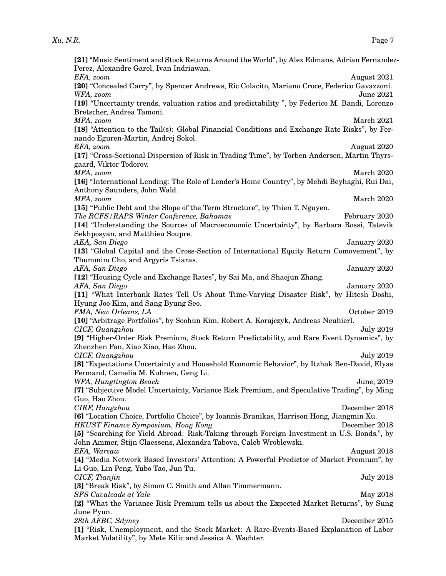| [21] "Music Sentiment and Stock Returns Around the World", by Alex Edmans, Adrian Fernandez-                                                         |
|------------------------------------------------------------------------------------------------------------------------------------------------------|
| Perez, Alexandre Garel, Ivan Indriawan.                                                                                                              |
| EFA, zoom<br>August 2021                                                                                                                             |
| [20] "Concealed Carry", by Spencer Andrews, Ric Colacito, Mariano Croce, Federico Gavazzoni.                                                         |
| WFA, zoom<br><b>June 2021</b>                                                                                                                        |
| [19] "Uncertainty trends, valuation ratios and predictability", by Federico M. Bandi, Lorenzo                                                        |
| Bretscher, Andrea Tamoni.                                                                                                                            |
| MFA, zoom<br>March 2021                                                                                                                              |
| [18] "Attention to the Tail(s): Global Financial Conditions and Exchange Rate Risks", by Fer-                                                        |
| nando Eguren-Martin, Andrej Sokol.                                                                                                                   |
| EFA, zoom<br>August 2020                                                                                                                             |
| [17] "Cross-Sectional Dispersion of Risk in Trading Time", by Torben Andersen, Martin Thyrs-                                                         |
| gaard, Viktor Todorov.                                                                                                                               |
| MFA, zoom<br>March 2020                                                                                                                              |
| [16] "International Lending: The Role of Lender's Home Country", by Mehdi Beyhaghi, Rui Dai,                                                         |
|                                                                                                                                                      |
| Anthony Saunders, John Wald.                                                                                                                         |
| MFA, zoom<br>March 2020                                                                                                                              |
| [15] "Public Debt and the Slope of the Term Structure", by Thien T. Nguyen.                                                                          |
| The RCFS/RAPS Winter Conference, Bahamas<br>February 2020                                                                                            |
| [14] "Understanding the Sources of Macroeconomic Uncertainty", by Barbara Rossi, Tatevik                                                             |
| Sekhposyan, and Matthieu Soupre.                                                                                                                     |
| AEA, San Diego<br>January 2020                                                                                                                       |
| [13] "Global Capital and the Cross-Section of International Equity Return Comovement", by                                                            |
| Thummim Cho, and Argyris Tsiaras.                                                                                                                    |
| AFA, San Diego<br>January 2020                                                                                                                       |
| [12] "Housing Cycle and Exchange Rates", by Sai Ma, and Shaojun Zhang.                                                                               |
| AFA, San Diego<br>January 2020                                                                                                                       |
|                                                                                                                                                      |
| [11] "What Interbank Rates Tell Us About Time-Varying Disaster Risk", by Hitesh Doshi,                                                               |
| Hyung Joo Kim, and Sang Byung Seo.                                                                                                                   |
| FMA, New Orleans, LA<br>October 2019                                                                                                                 |
| [10] "Arbitrage Portfolios", by Soohun Kim, Robert A. Korajczyk, Andreas Neuhierl.                                                                   |
| CICF, Guangzhou<br><b>July 2019</b>                                                                                                                  |
| [9] "Higher-Order Risk Premium, Stock Return Predictability, and Rare Event Dynamics", by                                                            |
| Zhenzhen Fan, Xiao Xiao, Hao Zhou.                                                                                                                   |
| CICF, Guangzhou<br><b>July 2019</b>                                                                                                                  |
| [8] "Expectations Uncertainty and Household Economic Behavior", by Itzhak Ben-David, Elyas                                                           |
| Fermand, Camelia M. Kuhnen, Geng Li.                                                                                                                 |
| WFA, Hungtington Beach<br>June, 2019                                                                                                                 |
| [7] "Subjective Model Uncertainty, Variance Risk Premium, and Speculative Trading", by Ming                                                          |
| Guo, Hao Zhou.                                                                                                                                       |
|                                                                                                                                                      |
| CIRF, Hangzhou<br>December 2018                                                                                                                      |
| [6] "Location Choice, Portfolio Choice", by Ioannis Branikas, Harrison Hong, Jiangmin Xu.                                                            |
| <b>HKUST Finance Symposium, Hong Kong</b><br>December 2018                                                                                           |
| [5] "Searching for Yield Abroad: Risk-Taking through Foreign Investment in U.S. Bonds.", by                                                          |
| John Ammer, Stijn Claessens, Alexandra Tabova, Caleb Wroblewski.                                                                                     |
| EFA, Warsaw<br>August 2018                                                                                                                           |
| [4] "Media Network Based Investors' Attention: A Powerful Predictor of Market Premium", by                                                           |
| Li Guo, Lin Peng, Yubo Tao, Jun Tu.                                                                                                                  |
| CICF, Tianjin<br><b>July 2018</b>                                                                                                                    |
| [3] "Break Risk", by Simon C. Smith and Allan Timmermann.                                                                                            |
| <b>SFS</b> Cavalcade at Yale<br>May 2018                                                                                                             |
| [2] "What the Variance Risk Premium tells us about the Expected Market Returns", by Sung                                                             |
| June Pyun.                                                                                                                                           |
| December 2015                                                                                                                                        |
| 28th AFBC, Sdyney                                                                                                                                    |
| [1] "Risk, Unemployment, and the Stock Market: A Rare-Events-Based Explanation of Labor<br>Market Volatility", by Mete Kilic and Jessica A. Wachter. |